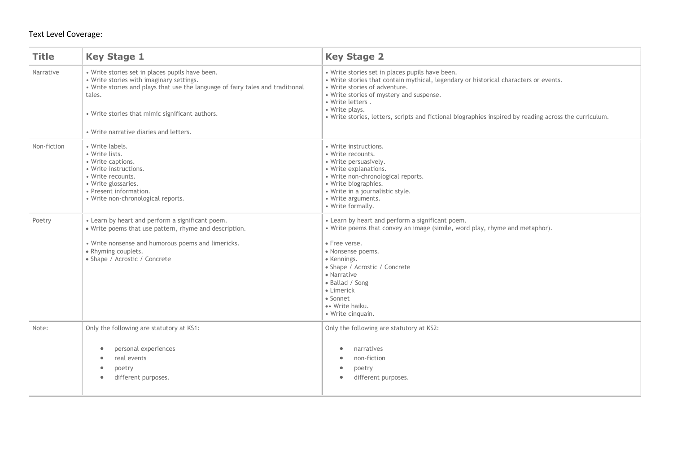### Text Level Coverage:

| <b>Title</b> | <b>Key Stage 1</b>                                                                                                                                                                                                                                                                   | <b>Key Stage 2</b>                                                                                                                                                                                                                                                                                                                                                   |
|--------------|--------------------------------------------------------------------------------------------------------------------------------------------------------------------------------------------------------------------------------------------------------------------------------------|----------------------------------------------------------------------------------------------------------------------------------------------------------------------------------------------------------------------------------------------------------------------------------------------------------------------------------------------------------------------|
| Narrative    | • Write stories set in places pupils have been.<br>• Write stories with imaginary settings.<br>. Write stories and plays that use the language of fairy tales and traditional<br>tales.<br>• Write stories that mimic significant authors.<br>• Write narrative diaries and letters. | • Write stories set in places pupils have been.<br>• Write stories that contain mythical, legendary or historical characters or events.<br>• Write stories of adventure.<br>• Write stories of mystery and suspense.<br>• Write letters.<br>• Write plays.<br>. Write stories, letters, scripts and fictional biographies inspired by reading across the curriculum. |
| Non-fiction  | • Write labels.<br>• Write lists.<br>• Write captions.<br>• Write instructions.<br>• Write recounts.<br>• Write glossaries.<br>• Present information.<br>• Write non-chronological reports.                                                                                          | · Write instructions.<br>• Write recounts.<br>• Write persuasively.<br>• Write explanations.<br>• Write non-chronological reports.<br>• Write biographies.<br>• Write in a journalistic style.<br>· Write arguments.<br>• Write formally.                                                                                                                            |
| Poetry       | • Learn by heart and perform a significant poem.<br>. Write poems that use pattern, rhyme and description.<br>• Write nonsense and humorous poems and limericks.<br>• Rhyming couplets.<br>• Shape / Acrostic / Concrete                                                             | • Learn by heart and perform a significant poem.<br>• Write poems that convey an image (simile, word play, rhyme and metaphor).<br>• Free verse.<br>· Nonsense poems.<br>• Kennings.<br>• Shape / Acrostic / Concrete<br>• Narrative<br>· Ballad / Song<br>• Limerick<br>• Sonnet<br>•• Write haiku.<br>• Write cinquain.                                            |
| Note:        | Only the following are statutory at KS1:<br>personal experiences<br>$\bullet$<br>real events<br>$\bullet$<br>poetry<br>$\bullet$<br>different purposes.<br>$\bullet$                                                                                                                 | Only the following are statutory at KS2:<br>narratives<br>$\bullet$<br>non-fiction<br>poetry<br>different purposes.<br>$\bullet$                                                                                                                                                                                                                                     |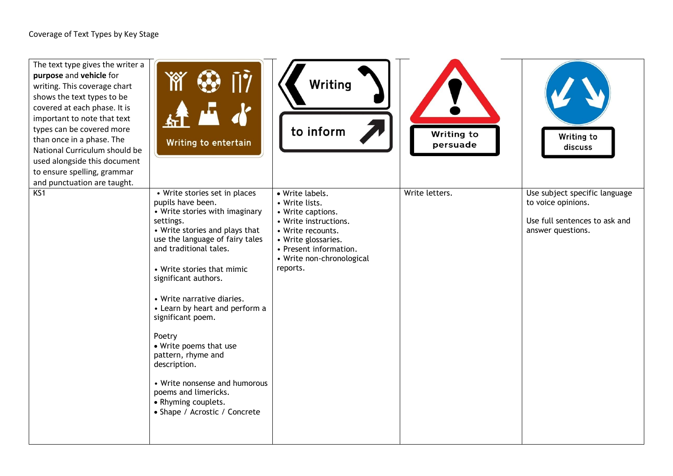| The text type gives the writer a<br>purpose and vehicle for<br>writing. This coverage chart<br>shows the text types to be<br>covered at each phase. It is<br>important to note that text<br>types can be covered more<br>than once in a phase. The<br>National Curriculum should be<br>used alongside this document<br>to ensure spelling, grammar<br>and punctuation are taught. | m<br>ŪŶ<br>石<br>Writing to entertain                                                                                                                                                                                                                                                                                                                                                                                                                                                                                                   | Writing<br>to inform                                                                                                                                                                           | Writing to<br>persuade | Writing to<br>discuss                                                                                     |
|-----------------------------------------------------------------------------------------------------------------------------------------------------------------------------------------------------------------------------------------------------------------------------------------------------------------------------------------------------------------------------------|----------------------------------------------------------------------------------------------------------------------------------------------------------------------------------------------------------------------------------------------------------------------------------------------------------------------------------------------------------------------------------------------------------------------------------------------------------------------------------------------------------------------------------------|------------------------------------------------------------------------------------------------------------------------------------------------------------------------------------------------|------------------------|-----------------------------------------------------------------------------------------------------------|
| KS1                                                                                                                                                                                                                                                                                                                                                                               | • Write stories set in places<br>pupils have been.<br>• Write stories with imaginary<br>settings.<br>• Write stories and plays that<br>use the language of fairy tales<br>and traditional tales.<br>• Write stories that mimic<br>significant authors.<br>• Write narrative diaries.<br>• Learn by heart and perform a<br>significant poem.<br>Poetry<br>• Write poems that use<br>pattern, rhyme and<br>description.<br>• Write nonsense and humorous<br>poems and limericks.<br>• Rhyming couplets.<br>• Shape / Acrostic / Concrete | · Write labels.<br>• Write lists.<br>• Write captions.<br>• Write instructions.<br>• Write recounts.<br>• Write glossaries.<br>• Present information.<br>• Write non-chronological<br>reports. | Write letters.         | Use subject specific language<br>to voice opinions.<br>Use full sentences to ask and<br>answer questions. |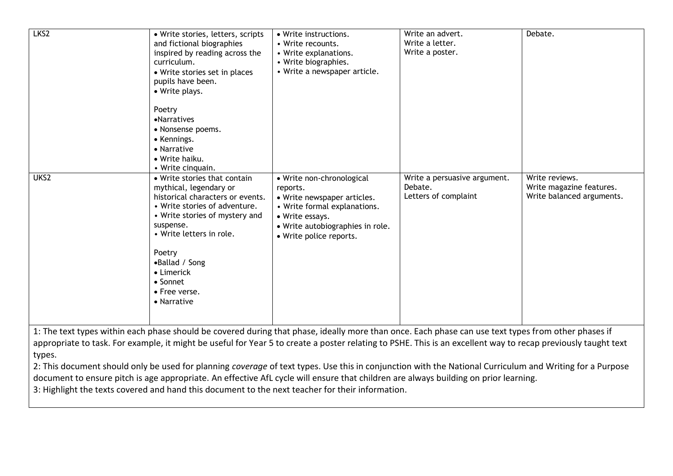| LKS <sub>2</sub> | · Write stories, letters, scripts<br>and fictional biographies<br>inspired by reading across the<br>curriculum.<br>• Write stories set in places<br>pupils have been.<br>• Write plays.<br>Poetry<br>•Narratives<br>• Nonsense poems.<br>• Kennings.<br>• Narrative<br>• Write haiku.<br>• Write cinquain. | • Write instructions.<br>• Write recounts.<br>• Write explanations.<br>• Write biographies.<br>• Write a newspaper article.                                                                                                                                                                                                                 | Write an advert.<br>Write a letter.<br>Write a poster.          | Debate.                                                                 |
|------------------|------------------------------------------------------------------------------------------------------------------------------------------------------------------------------------------------------------------------------------------------------------------------------------------------------------|---------------------------------------------------------------------------------------------------------------------------------------------------------------------------------------------------------------------------------------------------------------------------------------------------------------------------------------------|-----------------------------------------------------------------|-------------------------------------------------------------------------|
| UKS2             | • Write stories that contain<br>mythical, legendary or<br>historical characters or events.<br>• Write stories of adventure.<br>• Write stories of mystery and<br>suspense.<br>• Write letters in role.<br>Poetry<br>•Ballad / Song<br>• Limerick<br>$\bullet$ Sonnet<br>• Free verse.<br>• Narrative       | · Write non-chronological<br>reports.<br>• Write newspaper articles.<br>• Write formal explanations.<br>• Write essays.<br>• Write autobiographies in role.<br>· Write police reports.<br>1. The text types within each phase should be covered during that phase ideally more than once Fach phase can use text types from other phases if | Write a persuasive argument.<br>Debate.<br>Letters of complaint | Write reviews.<br>Write magazine features.<br>Write balanced arguments. |

1: The text types within each phase should be covered during that phase, ideally more than once. Each phase can use text types from other phases if appropriate to task. For example, it might be useful for Year 5 to create a poster relating to PSHE. This is an excellent way to recap previously taught text types.

2: This document should only be used for planning *coverage* of text types. Use this in conjunction with the National Curriculum and Writing for a Purpose document to ensure pitch is age appropriate. An effective AfL cycle will ensure that children are always building on prior learning.

3: Highlight the texts covered and hand this document to the next teacher for their information.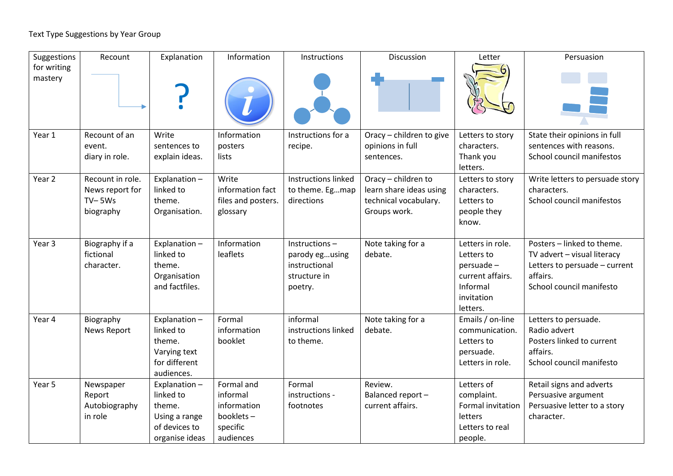### Text Type Suggestions by Year Group

| Suggestions            | Recount            | Explanation    | Information        | Instructions        | Discussion               | Letter                 | Persuasion                      |
|------------------------|--------------------|----------------|--------------------|---------------------|--------------------------|------------------------|---------------------------------|
| for writing<br>mastery |                    |                |                    |                     |                          |                        |                                 |
| Year 1                 | Recount of an      | Write          | Information        | Instructions for a  | Oracy - children to give | Letters to story       | State their opinions in full    |
|                        | event.             | sentences to   | posters            | recipe.             | opinions in full         | characters.            | sentences with reasons.         |
|                        | diary in role.     | explain ideas. | lists              |                     | sentences.               | Thank you<br>letters.  | School council manifestos       |
| Year 2                 | Recount in role.   | Explanation-   | Write              | Instructions linked | Oracy - children to      | Letters to story       | Write letters to persuade story |
|                        | News report for    | linked to      | information fact   | to theme. Egmap     | learn share ideas using  | characters.            | characters.                     |
|                        | $TV-5Ws$           | theme.         | files and posters. | directions          | technical vocabulary.    | Letters to             | School council manifestos       |
|                        | biography          | Organisation.  | glossary           |                     | Groups work.             | people they            |                                 |
|                        |                    |                |                    |                     |                          | know.                  |                                 |
| Year <sub>3</sub>      | Biography if a     | Explanation-   | Information        | $Instructions -$    | Note taking for a        | Letters in role.       | Posters - linked to theme.      |
|                        | fictional          | linked to      | leaflets           | parody egusing      | debate.                  | Letters to             | TV advert - visual literacy     |
|                        | character.         | theme.         |                    | instructional       |                          | persuade -             | Letters to persuade - current   |
|                        |                    | Organisation   |                    | structure in        |                          | current affairs.       | affairs.                        |
|                        |                    | and factfiles. |                    | poetry.             |                          | Informal               | School council manifesto        |
|                        |                    |                |                    |                     |                          | invitation<br>letters. |                                 |
| Year 4                 | Biography          | Explanation-   | Formal             | informal            | Note taking for a        | Emails / on-line       | Letters to persuade.            |
|                        | <b>News Report</b> | linked to      | information        | instructions linked | debate.                  | communication.         | Radio advert                    |
|                        |                    | theme.         | booklet            | to theme.           |                          | Letters to             | Posters linked to current       |
|                        |                    | Varying text   |                    |                     |                          | persuade.              | affairs.                        |
|                        |                    | for different  |                    |                     |                          | Letters in role.       | School council manifesto        |
|                        |                    | audiences.     |                    |                     |                          |                        |                                 |
| Year 5                 | Newspaper          | Explanation-   | Formal and         | Formal              | Review.                  | Letters of             | Retail signs and adverts        |
|                        | Report             | linked to      | informal           | instructions -      | Balanced report-         | complaint.             | Persuasive argument             |
|                        | Autobiography      | theme.         | information        | footnotes           | current affairs.         | Formal invitation      | Persuasive letter to a story    |
|                        | in role            | Using a range  | booklets-          |                     |                          | letters                | character.                      |
|                        |                    | of devices to  | specific           |                     |                          | Letters to real        |                                 |
|                        |                    | organise ideas | audiences          |                     |                          | people.                |                                 |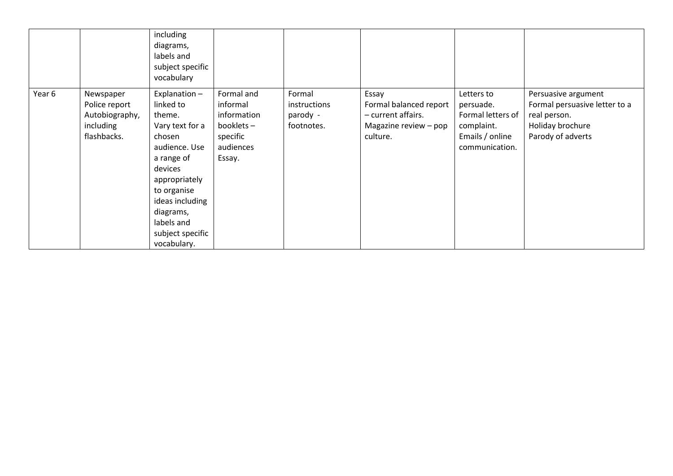|        |                                                                          | including<br>diagrams,<br>labels and<br>subject specific<br>vocabulary                                                                                                                                                      |                                                                                       |                                                  |                                                                                            |                                                                                                 |                                                                                                               |
|--------|--------------------------------------------------------------------------|-----------------------------------------------------------------------------------------------------------------------------------------------------------------------------------------------------------------------------|---------------------------------------------------------------------------------------|--------------------------------------------------|--------------------------------------------------------------------------------------------|-------------------------------------------------------------------------------------------------|---------------------------------------------------------------------------------------------------------------|
| Year 6 | Newspaper<br>Police report<br>Autobiography,<br>including<br>flashbacks. | Explanation-<br>linked to<br>theme.<br>Vary text for a<br>chosen<br>audience. Use<br>a range of<br>devices<br>appropriately<br>to organise<br>ideas including<br>diagrams,<br>labels and<br>subject specific<br>vocabulary. | Formal and<br>informal<br>information<br>booklets-<br>specific<br>audiences<br>Essay. | Formal<br>instructions<br>parody -<br>footnotes. | Essay<br>Formal balanced report<br>- current affairs.<br>Magazine review - pop<br>culture. | Letters to<br>persuade.<br>Formal letters of<br>complaint.<br>Emails / online<br>communication. | Persuasive argument<br>Formal persuasive letter to a<br>real person.<br>Holiday brochure<br>Parody of adverts |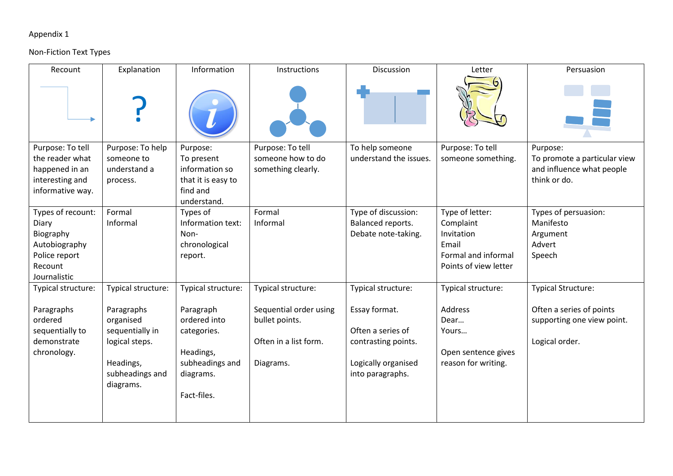# Appendix 1

### Non-Fiction Text Types

| Recount                 | Explanation                  | Information             | Instructions           | Discussion             | Letter                | Persuasion                   |
|-------------------------|------------------------------|-------------------------|------------------------|------------------------|-----------------------|------------------------------|
|                         |                              |                         |                        |                        |                       |                              |
| Purpose: To tell        | Purpose: To help             | Purpose:                | Purpose: To tell       | To help someone        | Purpose: To tell      | Purpose:                     |
| the reader what         | someone to                   | To present              | someone how to do      | understand the issues. | someone something.    | To promote a particular view |
| happened in an          | understand a                 | information so          | something clearly.     |                        |                       | and influence what people    |
| interesting and         | process.                     | that it is easy to      |                        |                        |                       | think or do.                 |
| informative way.        |                              | find and<br>understand. |                        |                        |                       |                              |
| Types of recount:       | Formal                       | Types of                | Formal                 | Type of discussion:    | Type of letter:       | Types of persuasion:         |
| Diary                   | Informal                     | Information text:       | Informal               | Balanced reports.      | Complaint             | Manifesto                    |
| Biography               |                              | Non-                    |                        | Debate note-taking.    | Invitation            | Argument                     |
| Autobiography           |                              | chronological           |                        |                        | Email                 | Advert                       |
| Police report           |                              | report.                 |                        |                        | Formal and informal   | Speech                       |
| Recount<br>Journalistic |                              |                         |                        |                        | Points of view letter |                              |
| Typical structure:      | Typical structure:           | Typical structure:      | Typical structure:     | Typical structure:     | Typical structure:    | <b>Typical Structure:</b>    |
|                         |                              |                         |                        |                        |                       |                              |
| Paragraphs              | Paragraphs                   | Paragraph               | Sequential order using | Essay format.          | <b>Address</b>        | Often a series of points     |
| ordered                 | organised                    | ordered into            | bullet points.         |                        | Dear                  | supporting one view point.   |
| sequentially to         | sequentially in              | categories.             |                        | Often a series of      | Yours                 |                              |
| demonstrate             | logical steps.               |                         | Often in a list form.  | contrasting points.    |                       | Logical order.               |
| chronology.             |                              | Headings,               |                        |                        | Open sentence gives   |                              |
|                         | Headings,<br>subheadings and | subheadings and         | Diagrams.              | Logically organised    | reason for writing.   |                              |
|                         | diagrams.                    | diagrams.               |                        | into paragraphs.       |                       |                              |
|                         |                              | Fact-files.             |                        |                        |                       |                              |
|                         |                              |                         |                        |                        |                       |                              |
|                         |                              |                         |                        |                        |                       |                              |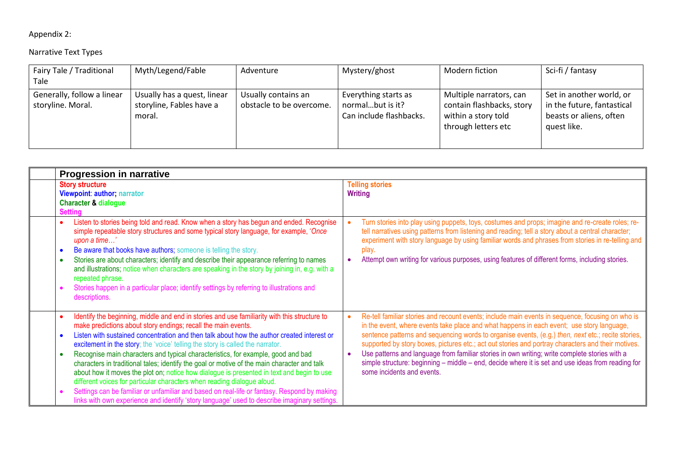# Appendix 2:

#### Narrative Text Types

| Fairy Tale / Traditional                        | Myth/Legend/Fable                                                 | Adventure                                       | Mystery/ghost                                                       | Modern fiction                                                                                     | Sci-fi / fantasy                                                                                 |
|-------------------------------------------------|-------------------------------------------------------------------|-------------------------------------------------|---------------------------------------------------------------------|----------------------------------------------------------------------------------------------------|--------------------------------------------------------------------------------------------------|
| Tale                                            |                                                                   |                                                 |                                                                     |                                                                                                    |                                                                                                  |
| Generally, follow a linear<br>storyline. Moral. | Usually has a quest, linear<br>storyline, Fables have a<br>moral. | Usually contains an<br>obstacle to be overcome. | Everything starts as<br>normalbut is it?<br>Can include flashbacks. | Multiple narrators, can<br>contain flashbacks, story<br>within a story told<br>through letters etc | Set in another world, or<br>in the future, fantastical<br>beasts or aliens, often<br>quest like. |

| <b>Progression in narrative</b>                                                                                                                                                                                                                                                                                                                                                                                                                                                                                                                                                                                                                                                                                                                                                                                                                                                                                                   |                                                                                                                                                                                                                                                                                                                                                                                                                                                                                                                                                                                                                                               |  |  |  |  |  |  |
|-----------------------------------------------------------------------------------------------------------------------------------------------------------------------------------------------------------------------------------------------------------------------------------------------------------------------------------------------------------------------------------------------------------------------------------------------------------------------------------------------------------------------------------------------------------------------------------------------------------------------------------------------------------------------------------------------------------------------------------------------------------------------------------------------------------------------------------------------------------------------------------------------------------------------------------|-----------------------------------------------------------------------------------------------------------------------------------------------------------------------------------------------------------------------------------------------------------------------------------------------------------------------------------------------------------------------------------------------------------------------------------------------------------------------------------------------------------------------------------------------------------------------------------------------------------------------------------------------|--|--|--|--|--|--|
| <b>Story structure</b><br>Viewpoint: author; narrator<br><b>Character &amp; dialogue</b><br><b>Setting</b>                                                                                                                                                                                                                                                                                                                                                                                                                                                                                                                                                                                                                                                                                                                                                                                                                        | <b>Telling stories</b><br><b>Writing</b>                                                                                                                                                                                                                                                                                                                                                                                                                                                                                                                                                                                                      |  |  |  |  |  |  |
| Listen to stories being told and read. Know when a story has begun and ended. Recognise<br>simple repeatable story structures and some typical story language, for example, 'Once<br>upon a time'<br>Be aware that books have authors; someone is telling the story.<br>$\bullet$<br>Stories are about characters; identify and describe their appearance referring to names<br>and illustrations; notice when characters are speaking in the story by joining in, e.g. with a<br>repeated phrase.<br>Stories happen in a particular place; identify settings by referring to illustrations and<br>descriptions.                                                                                                                                                                                                                                                                                                                  | Turn stories into play using puppets, toys, costumes and props; imagine and re-create roles; re-<br>tell narratives using patterns from listening and reading; tell a story about a central character;<br>experiment with story language by using familiar words and phrases from stories in re-telling and<br>play.<br>Attempt own writing for various purposes, using features of different forms, including stories.                                                                                                                                                                                                                       |  |  |  |  |  |  |
| Identify the beginning, middle and end in stories and use familiarity with this structure to<br>make predictions about story endings; recall the main events.<br>Listen with sustained concentration and then talk about how the author created interest or<br>$\bullet$<br>excitement in the story; the 'voice' telling the story is called the narrator.<br>Recognise main characters and typical characteristics, for example, good and bad<br>$\bullet$<br>characters in traditional tales; identify the goal or motive of the main character and talk<br>about how it moves the plot on; notice how dialogue is presented in text and begin to use<br>different voices for particular characters when reading dialogue aloud.<br>Settings can be familiar or unfamiliar and based on real-life or fantasy. Respond by making<br>links with own experience and identify 'story language' used to describe imaginary settings. | Re-tell familiar stories and recount events; include main events in sequence, focusing on who is<br>in the event, where events take place and what happens in each event; use story language,<br>sentence patterns and sequencing words to organise events, (e.g.) then, next etc.; recite stories,<br>supported by story boxes, pictures etc.; act out stories and portray characters and their motives.<br>Use patterns and language from familiar stories in own writing; write complete stories with a<br>simple structure: beginning - middle - end, decide where it is set and use ideas from reading for<br>some incidents and events. |  |  |  |  |  |  |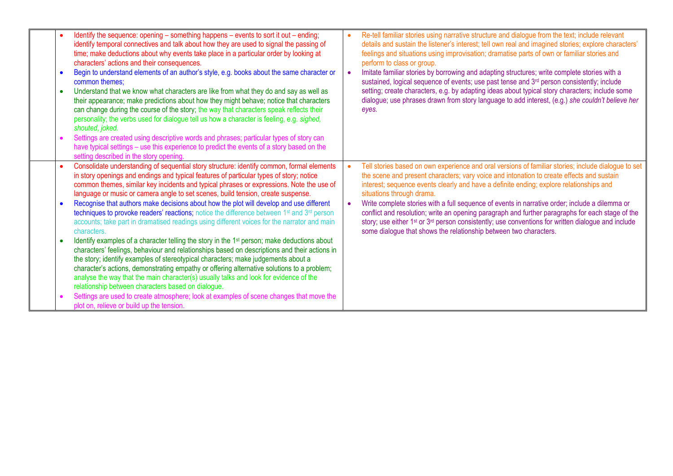| Identify the sequence: opening - something happens - events to sort it out - ending;<br>identify temporal connectives and talk about how they are used to signal the passing of<br>time; make deductions about why events take place in a particular order by looking at<br>characters' actions and their consequences.<br>Begin to understand elements of an author's style, e.g. books about the same character or<br>common themes:<br>Understand that we know what characters are like from what they do and say as well as<br>their appearance; make predictions about how they might behave; notice that characters<br>can change during the course of the story; the way that characters speak reflects their<br>personality; the verbs used for dialogue tell us how a character is feeling, e.g. sighed,<br>shouted, joked.<br>Settings are created using descriptive words and phrases; particular types of story can<br>have typical settings – use this experience to predict the events of a story based on the<br>setting described in the story opening.                                                                                                                                                                                                                                                                                          | Re-tell familiar stories using narrative structure and dialogue from the text; include relevant<br>details and sustain the listener's interest; tell own real and imagined stories; explore characters'<br>feelings and situations using improvisation; dramatise parts of own or familiar stories and<br>perform to class or group.<br>Imitate familiar stories by borrowing and adapting structures; write complete stories with a<br>sustained, logical sequence of events; use past tense and 3rd person consistently; include<br>setting; create characters, e.g. by adapting ideas about typical story characters; include some<br>dialogue; use phrases drawn from story language to add interest, (e.g.) she couldn't believe her<br>eyes. |
|------------------------------------------------------------------------------------------------------------------------------------------------------------------------------------------------------------------------------------------------------------------------------------------------------------------------------------------------------------------------------------------------------------------------------------------------------------------------------------------------------------------------------------------------------------------------------------------------------------------------------------------------------------------------------------------------------------------------------------------------------------------------------------------------------------------------------------------------------------------------------------------------------------------------------------------------------------------------------------------------------------------------------------------------------------------------------------------------------------------------------------------------------------------------------------------------------------------------------------------------------------------------------------------------------------------------------------------------------------------|----------------------------------------------------------------------------------------------------------------------------------------------------------------------------------------------------------------------------------------------------------------------------------------------------------------------------------------------------------------------------------------------------------------------------------------------------------------------------------------------------------------------------------------------------------------------------------------------------------------------------------------------------------------------------------------------------------------------------------------------------|
| Consolidate understanding of sequential story structure: identify common, formal elements<br>in story openings and endings and typical features of particular types of story; notice<br>common themes, similar key incidents and typical phrases or expressions. Note the use of<br>language or music or camera angle to set scenes, build tension, create suspense.<br>Recognise that authors make decisions about how the plot will develop and use different<br>techniques to provoke readers' reactions; notice the difference between 1st and 3rd person<br>accounts; take part in dramatised readings using different voices for the narrator and main<br>characters.<br>Identify examples of a character telling the story in the 1 <sup>st</sup> person; make deductions about<br>characters' feelings, behaviour and relationships based on descriptions and their actions in<br>the story; identify examples of stereotypical characters; make judgements about a<br>character's actions, demonstrating empathy or offering alternative solutions to a problem;<br>analyse the way that the main character(s) usually talks and look for evidence of the<br>relationship between characters based on dialogue.<br>Settings are used to create atmosphere; look at examples of scene changes that move the<br>plot on, relieve or build up the tension. | Tell stories based on own experience and oral versions of familiar stories; include dialogue to set<br>$\bullet$<br>the scene and present characters; vary voice and intonation to create effects and sustain<br>interest; sequence events clearly and have a definite ending; explore relationships and<br>situations through drama.<br>Write complete stories with a full sequence of events in narrative order; include a dilemma or<br>conflict and resolution; write an opening paragraph and further paragraphs for each stage of the<br>story; use either 1st or 3rd person consistently; use conventions for written dialogue and include<br>some dialogue that shows the relationship between two characters.                             |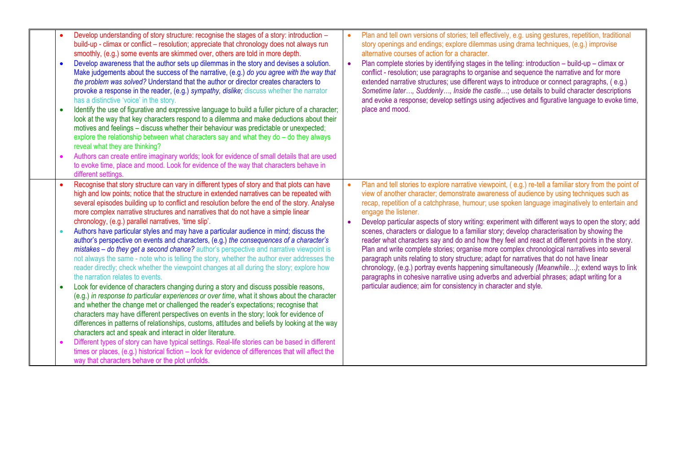|           | Develop understanding of story structure: recognise the stages of a story: introduction -<br>build-up - climax or conflict - resolution; appreciate that chronology does not always run<br>smoothly, (e.g.) some events are skimmed over, others are told in more depth.<br>Develop awareness that the author sets up dilemmas in the story and devises a solution.<br>Make judgements about the success of the narrative, (e.g.) do you agree with the way that<br>the problem was solved? Understand that the author or director creates characters to<br>provoke a response in the reader, (e.g.) sympathy, dislike; discuss whether the narrator<br>has a distinctive 'voice' in the story.<br>Identify the use of figurative and expressive language to build a fuller picture of a character;<br>look at the way that key characters respond to a dilemma and make deductions about their<br>motives and feelings - discuss whether their behaviour was predictable or unexpected;<br>explore the relationship between what characters say and what they do - do they always<br>reveal what they are thinking?<br>Authors can create entire imaginary worlds; look for evidence of small details that are used<br>to evoke time, place and mood. Look for evidence of the way that characters behave in<br>different settings.                                                                                                                                                                                                                                                                                                                                                                                                                        | $\bullet$ | Plan and tell own versions of stories; tell effectively, e.g. using gestures, repetition, traditional<br>story openings and endings; explore dilemmas using drama techniques, (e.g.) improvise<br>alternative courses of action for a character.<br>Plan complete stories by identifying stages in the telling: introduction - build-up - climax or<br>conflict - resolution; use paragraphs to organise and sequence the narrative and for more<br>extended narrative structures; use different ways to introduce or connect paragraphs, (e.g.)<br>Sometime later, Suddenly, Inside the castle; use details to build character descriptions<br>and evoke a response; develop settings using adjectives and figurative language to evoke time,<br>place and mood.                                                                                                                                                                                                                                                                                                                                  |
|-----------|-------------------------------------------------------------------------------------------------------------------------------------------------------------------------------------------------------------------------------------------------------------------------------------------------------------------------------------------------------------------------------------------------------------------------------------------------------------------------------------------------------------------------------------------------------------------------------------------------------------------------------------------------------------------------------------------------------------------------------------------------------------------------------------------------------------------------------------------------------------------------------------------------------------------------------------------------------------------------------------------------------------------------------------------------------------------------------------------------------------------------------------------------------------------------------------------------------------------------------------------------------------------------------------------------------------------------------------------------------------------------------------------------------------------------------------------------------------------------------------------------------------------------------------------------------------------------------------------------------------------------------------------------------------------------------------------------------------------------------------------------------------|-----------|----------------------------------------------------------------------------------------------------------------------------------------------------------------------------------------------------------------------------------------------------------------------------------------------------------------------------------------------------------------------------------------------------------------------------------------------------------------------------------------------------------------------------------------------------------------------------------------------------------------------------------------------------------------------------------------------------------------------------------------------------------------------------------------------------------------------------------------------------------------------------------------------------------------------------------------------------------------------------------------------------------------------------------------------------------------------------------------------------|
| $\bullet$ | Recognise that story structure can vary in different types of story and that plots can have<br>high and low points; notice that the structure in extended narratives can be repeated with<br>several episodes building up to conflict and resolution before the end of the story. Analyse<br>more complex narrative structures and narratives that do not have a simple linear<br>chronology, (e.g.) parallel narratives, 'time slip'.<br>Authors have particular styles and may have a particular audience in mind; discuss the<br>author's perspective on events and characters, (e.g.) the consequences of a character's<br>mistakes - do they get a second chance? author's perspective and narrative viewpoint is<br>not always the same - note who is telling the story, whether the author ever addresses the<br>reader directly; check whether the viewpoint changes at all during the story; explore how<br>the narration relates to events.<br>Look for evidence of characters changing during a story and discuss possible reasons,<br>(e.g.) in response to particular experiences or over time, what it shows about the character<br>and whether the change met or challenged the reader's expectations; recognise that<br>characters may have different perspectives on events in the story; look for evidence of<br>differences in patterns of relationships, customs, attitudes and beliefs by looking at the way<br>characters act and speak and interact in older literature.<br>Different types of story can have typical settings. Real-life stories can be based in different<br>times or places, (e.g.) historical fiction – look for evidence of differences that will affect the<br>way that characters behave or the plot unfolds. |           | Plan and tell stories to explore narrative viewpoint, (e.g.) re-tell a familiar story from the point of<br>view of another character; demonstrate awareness of audience by using techniques such as<br>recap, repetition of a catchphrase, humour; use spoken language imaginatively to entertain and<br>engage the listener.<br>Develop particular aspects of story writing: experiment with different ways to open the story; add<br>scenes, characters or dialogue to a familiar story; develop characterisation by showing the<br>reader what characters say and do and how they feel and react at different points in the story.<br>Plan and write complete stories; organise more complex chronological narratives into several<br>paragraph units relating to story structure; adapt for narratives that do not have linear<br>chronology, (e.g.) portray events happening simultaneously (Meanwhile); extend ways to link<br>paragraphs in cohesive narrative using adverbs and adverbial phrases; adapt writing for a<br>particular audience; aim for consistency in character and style. |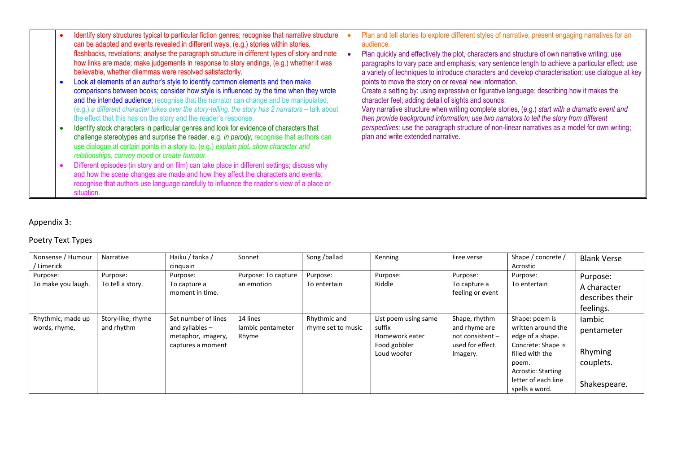| $\bullet$ | Identify story structures typical to particular fiction genres; recognise that narrative structure<br>can be adapted and events revealed in different ways, (e.g.) stories within stories,<br>flashbacks, revelations; analyse the paragraph structure in different types of story and note<br>how links are made; make judgements in response to story endings, (e.g.) whether it was<br>believable, whether dilemmas were resolved satisfactorily.<br>Look at elements of an author's style to identify common elements and then make<br>comparisons between books; consider how style is influenced by the time when they wrote<br>and the intended audience; recognise that the narrator can change and be manipulated,<br>(e.g.) a different character takes over the story-telling, the story has 2 narrators - talk about<br>the effect that this has on the story and the reader's response. | Plan and tell stories to explore different styles of narrative; present engaging narratives for an<br>audience.<br>Plan quickly and effectively the plot, characters and structure of own narrative writing; use<br>paragraphs to vary pace and emphasis; vary sentence length to achieve a particular effect; use<br>a variety of techniques to introduce characters and develop characterisation; use dialogue at key<br>points to move the story on or reveal new information.<br>Create a setting by: using expressive or figurative language; describing how it makes the<br>character feel; adding detail of sights and sounds;<br>Vary narrative structure when writing complete stories, (e.g.) start with a dramatic event and<br>then provide background information; use two narrators to tell the story from different |
|-----------|------------------------------------------------------------------------------------------------------------------------------------------------------------------------------------------------------------------------------------------------------------------------------------------------------------------------------------------------------------------------------------------------------------------------------------------------------------------------------------------------------------------------------------------------------------------------------------------------------------------------------------------------------------------------------------------------------------------------------------------------------------------------------------------------------------------------------------------------------------------------------------------------------|------------------------------------------------------------------------------------------------------------------------------------------------------------------------------------------------------------------------------------------------------------------------------------------------------------------------------------------------------------------------------------------------------------------------------------------------------------------------------------------------------------------------------------------------------------------------------------------------------------------------------------------------------------------------------------------------------------------------------------------------------------------------------------------------------------------------------------|
| $\bullet$ | Identify stock characters in particular genres and look for evidence of characters that<br>challenge stereotypes and surprise the reader, e.g. in parody; recognise that authors can<br>use dialogue at certain points in a story to, (e.g.) explain plot, show character and<br>relationships, convey mood or create humour.                                                                                                                                                                                                                                                                                                                                                                                                                                                                                                                                                                        | perspectives; use the paragraph structure of non-linear narratives as a model for own writing;<br>plan and write extended narrative.                                                                                                                                                                                                                                                                                                                                                                                                                                                                                                                                                                                                                                                                                               |
| $\bullet$ | Different episodes (in story and on film) can take place in different settings; discuss why<br>and how the scene changes are made and how they affect the characters and events;<br>recognise that authors use language carefully to influence the reader's view of a place or<br>situation.                                                                                                                                                                                                                                                                                                                                                                                                                                                                                                                                                                                                         |                                                                                                                                                                                                                                                                                                                                                                                                                                                                                                                                                                                                                                                                                                                                                                                                                                    |

### Appendix 3:

#### Poetry Text Types

| Nonsense / Humour<br>/ Limerick    | Narrative                       | Haiku / tanka /<br>cinguain                                                         | Sonnet                                 | Song /ballad                       | Kenning                                                                         | Free verse                                                                         | Shape / concrete /<br>Acrostic                                                                                                                                                   | <b>Blank Verse</b>                                           |
|------------------------------------|---------------------------------|-------------------------------------------------------------------------------------|----------------------------------------|------------------------------------|---------------------------------------------------------------------------------|------------------------------------------------------------------------------------|----------------------------------------------------------------------------------------------------------------------------------------------------------------------------------|--------------------------------------------------------------|
| Purpose:<br>To make you laugh.     | Purpose:<br>To tell a story.    | Purpose:<br>To capture a<br>moment in time.                                         | Purpose: To capture<br>an emotion      | Purpose:<br>To entertain           | Purpose:<br>Riddle                                                              | Purpose:<br>To capture a<br>feeling or event                                       | Purpose:<br>To entertain                                                                                                                                                         | Purpose:<br>A character<br>describes their<br>feelings.      |
| Rhythmic, made up<br>words, rhyme, | Story-like, rhyme<br>and rhythm | Set number of lines<br>and syllables $-$<br>metaphor, imagery,<br>captures a moment | 14 lines<br>lambic pentameter<br>Rhyme | Rhythmic and<br>rhyme set to music | List poem using same<br>suffix<br>Homework eater<br>Food gobbler<br>Loud woofer | Shape, rhythm<br>and rhyme are<br>not consistent -<br>used for effect.<br>Imagery. | Shape: poem is<br>written around the<br>edge of a shape.<br>Concrete: Shape is<br>filled with the<br>poem.<br><b>Acrostic: Starting</b><br>letter of each line<br>spells a word. | lambic<br>pentameter<br>Rhyming<br>couplets.<br>Shakespeare. |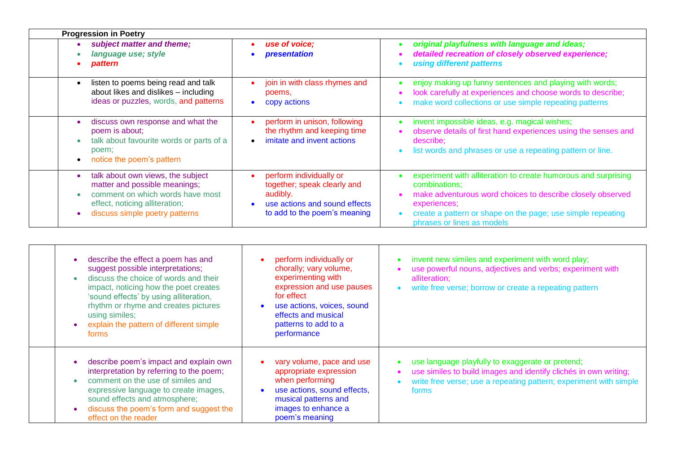| <b>Progression in Poetry</b>                                                                                                                                               |                                                                                                                                     |                                                                                                                                                                                                                                                            |  |  |
|----------------------------------------------------------------------------------------------------------------------------------------------------------------------------|-------------------------------------------------------------------------------------------------------------------------------------|------------------------------------------------------------------------------------------------------------------------------------------------------------------------------------------------------------------------------------------------------------|--|--|
| subject matter and theme;<br>language use; style<br>pattern                                                                                                                | use of voice;<br>presentation                                                                                                       | original playfulness with language and ideas;<br>detailed recreation of closely observed experience;<br>using different patterns                                                                                                                           |  |  |
| listen to poems being read and talk<br>about likes and dislikes - including<br>ideas or puzzles, words, and patterns                                                       | join in with class rhymes and<br>poems,<br>copy actions                                                                             | enjoy making up funny sentences and playing with words;<br>look carefully at experiences and choose words to describe;<br>make word collections or use simple repeating patterns                                                                           |  |  |
| discuss own response and what the<br>poem is about;<br>talk about favourite words or parts of a<br>poem;<br>notice the poem's pattern                                      | perform in unison, following<br>the rhythm and keeping time<br>imitate and invent actions                                           | invent impossible ideas, e.g. magical wishes;<br>observe details of first hand experiences using the senses and<br>describe;<br>list words and phrases or use a repeating pattern or line.                                                                 |  |  |
| talk about own views, the subject<br>matter and possible meanings;<br>comment on which words have most<br>effect, noticing alliteration;<br>discuss simple poetry patterns | perform individually or<br>together; speak clearly and<br>audibly.<br>use actions and sound effects<br>to add to the poem's meaning | experiment with alliteration to create humorous and surprising<br>combinations;<br>make adventurous word choices to describe closely observed<br>experiences:<br>create a pattern or shape on the page; use simple repeating<br>phrases or lines as models |  |  |

| describe the effect a poem has and<br>suggest possible interpretations;<br>discuss the choice of words and their<br>impact, noticing how the poet creates<br>'sound effects' by using alliteration,<br>rhythm or rhyme and creates pictures<br>using similes;<br>explain the pattern of different simple<br>forms | perform individually or<br>chorally; vary volume,<br>experimenting with<br>expression and use pauses<br>for effect<br>use actions, voices, sound<br>effects and musical<br>patterns to add to a<br>performance | invent new similes and experiment with word play;<br>use powerful nouns, adjectives and verbs; experiment with<br>alliteration:<br>write free verse; borrow or create a repeating pattern          |
|-------------------------------------------------------------------------------------------------------------------------------------------------------------------------------------------------------------------------------------------------------------------------------------------------------------------|----------------------------------------------------------------------------------------------------------------------------------------------------------------------------------------------------------------|----------------------------------------------------------------------------------------------------------------------------------------------------------------------------------------------------|
| describe poem's impact and explain own<br>interpretation by referring to the poem;<br>comment on the use of similes and<br>expressive language to create images,<br>sound effects and atmosphere;<br>discuss the poem's form and suggest the<br>effect on the reader                                              | vary volume, pace and use<br>appropriate expression<br>when performing<br>use actions, sound effects,<br>musical patterns and<br>images to enhance a<br>poem's meaning                                         | use language playfully to exaggerate or pretend;<br>use similes to build images and identify clichés in own writing;<br>write free verse; use a repeating pattern; experiment with simple<br>forms |